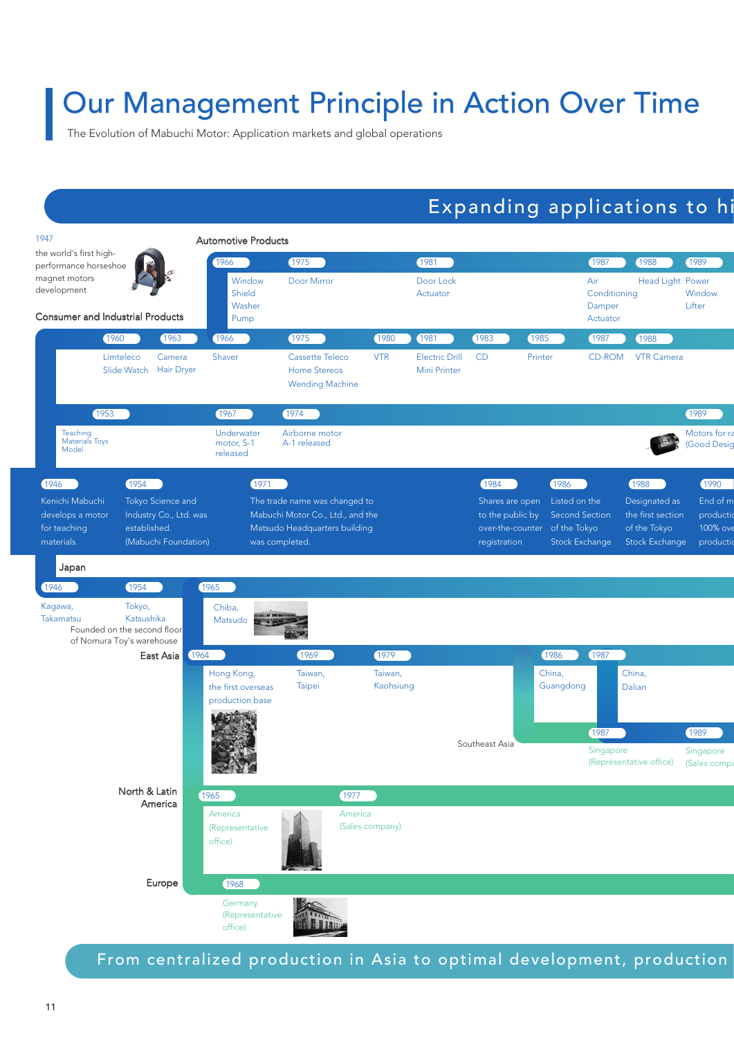# Our Management Principle in Action Over Time

The Evolution of Mabuchi Motor: Application markets and global operations

## Expanding applications to hi